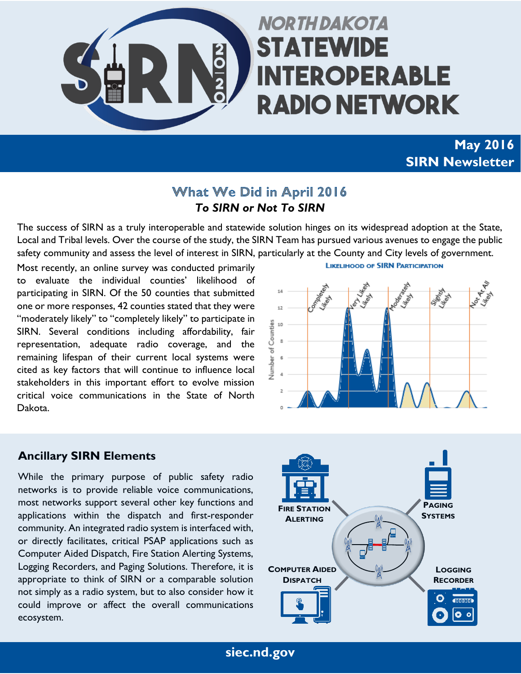

# **NORTH DAKOTA STATEWIDE INTEROPERABLE RADIO NETWORK**

# **May 2016 SIRN Newsletter**

#### **What We Did in April 2016** *To SIRN or Not To SIRN*

The success of SIRN as a truly interoperable and statewide solution hinges on its widespread adoption at the State, Local and Tribal levels. Over the course of the study, the SIRN Team has pursued various avenues to engage the public safety community and assess the level of interest in SIRN, particularly at the County and City levels of government.

Most recently, an online survey was conducted primarily to evaluate the individual counties' likelihood of participating in SIRN. Of the 50 counties that submitted one or more responses, 42 counties stated that they were "moderately likely" to "completely likely" to participate in SIRN. Several conditions including affordability, fair representation, adequate radio coverage, and the remaining lifespan of their current local systems were cited as key factors that will continue to influence local stakeholders in this important effort to evolve mission critical voice communications in the State of North Dakota.

**LIKELIHOOD OF SIRN PARTICIPATION** 



#### **Ancillary SIRN Elements**

While the primary purpose of public safety radio networks is to provide reliable voice communications, most networks support several other key functions and applications within the dispatch and first-responder community. An integrated radio system is interfaced with, or directly facilitates, critical PSAP applications such as Computer Aided Dispatch, Fire Station Alerting Systems, Logging Recorders, and Paging Solutions. Therefore, it is appropriate to think of SIRN or a comparable solution not simply as a radio system, but to also consider how it could improve or affect the overall communications ecosystem.



**siec.nd.gov**